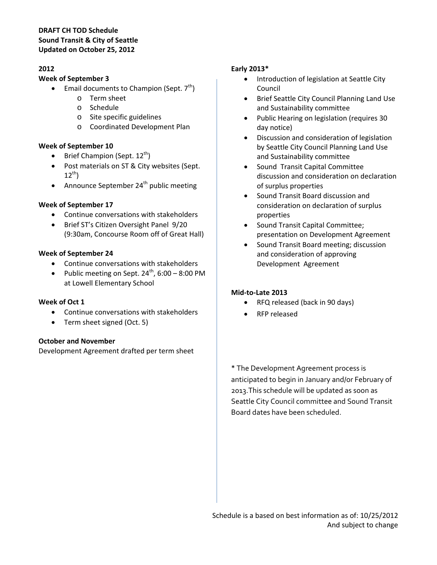#### **DRAFT CH TOD Schedule Sound Transit & City of Seattle Updated on October 25, 2012**

### **2012**

#### **Week of September 3**

- **Email documents to Champion (Sept. 7th)** 
	- o Term sheet
	- o Schedule
	- o Site specific guidelines
	- o Coordinated Development Plan

### **Week of September 10**

- Brief Champion (Sept.  $12^{th}$ )
- Post materials on ST & City websites (Sept.  $12^{th}$ )
- Announce September  $24<sup>th</sup>$  public meeting

### **Week of September 17**

- Continue conversations with stakeholders
- Brief ST's Citizen Oversight Panel 9/20 (9:30am, Concourse Room off of Great Hall)

#### **Week of September 24**

- Continue conversations with stakeholders
- Public meeting on Sept.  $24^{th}$ , 6:00 8:00 PM at Lowell Elementary School

#### **Week of Oct 1**

- Continue conversations with stakeholders
- Term sheet signed (Oct. 5)

#### **October and November**

Development Agreement drafted per term sheet

### **Early 2013\***

- Introduction of legislation at Seattle City Council
- Brief Seattle City Council Planning Land Use and Sustainability committee
- Public Hearing on legislation (requires 30 day notice)
- Discussion and consideration of legislation by Seattle City Council Planning Land Use and Sustainability committee
- Sound Transit Capital Committee discussion and consideration on declaration of surplus properties
- Sound Transit Board discussion and consideration on declaration of surplus properties
- Sound Transit Capital Committee; presentation on Development Agreement
- Sound Transit Board meeting; discussion and consideration of approving Development Agreement

# **Mid‐to‐Late 2013**

- RFQ released (back in 90 days)
- RFP released

\* The Development Agreement process is anticipated to begin in January and/or February of 2013.This schedule will be updated as soon as Seattle City Council committee and Sound Transit Board dates have been scheduled.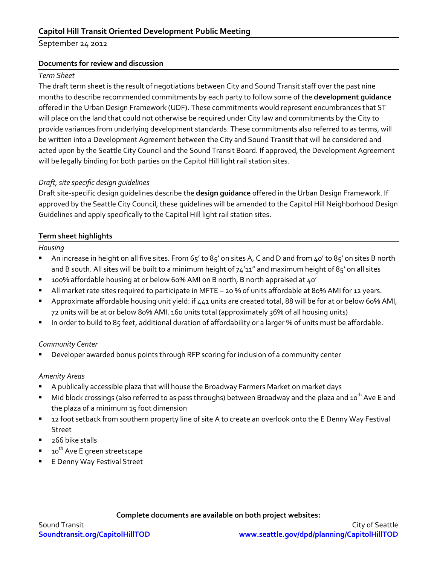# **Capitol Hill Transit Oriented Development Public Meeting**

September 24 2012

#### **Documents for review and discussion**

#### *Term Sheet*

The draft term sheet is the result of negotiations between City and Sound Transit staff over the past nine months to describe recommended commitments by each party to follow some of the **development guidance** offered in the Urban Design Framework (UDF). These commitments would represent encumbrances that ST will place on the land that could not otherwise be required under City law and commitments by the City to provide variances from underlying development standards. These commitments also referred to as terms, will be written into a Development Agreement between the City and Sound Transit that will be considered and acted upon by the Seattle City Council and the Sound Transit Board. If approved, the Development Agreement will be legally binding for both parties on the Capitol Hill light rail station sites.

### *Draft, site specific design guidelines*

Draft site-specific design guidelines describe the **design guidance** offered in the Urban Design Framework. If approved by the Seattle City Council, these guidelines will be amended to the Capitol Hill Neighborhood Design Guidelines and apply specifically to the Capitol Hill light rail station sites.

### **Term sheet highlights**

*Housing*

- An increase in height on all five sites. From 65' to 85' on sites A, C and D and from 40' to 85' on sites B north and B south. All sites will be built to a minimum height of  $74'11''$  and maximum height of  $85'$  on all sites
- 100% affordable housing at or below 60% AMI on B north, B north appraised at 40'
- All market rate sites required to participate in MFTE 20 % of units affordable at 80% AMI for 12 years.
- Approximate affordable housing unit yield: if 441 units are created total, 88 will be for at or below 60% AMI, 72 units will be at or below 80% AMI. 160 units total (approximately 36% of all housing units)
- In order to build to 85 feet, additional duration of affordability or a larger % of units must be affordable.

#### *Community Center*

Developer awarded bonus points through RFP scoring for inclusion of a community center

#### *Amenity Areas*

- A publically accessible plaza that will house the Broadway Farmers Market on market days
- Mid block crossings (also referred to as pass throughs) between Broadway and the plaza and 10<sup>th</sup> Ave E and the plaza of a minimum 15 foot dimension
- 12 foot setback from southern property line of site A to create an overlook onto the E Denny Way Festival Street
- 266 bike stalls
- 10<sup>th</sup> Ave E green streetscape
- E Denny Way Festival Street

#### **Complete documents are available on both project websites:**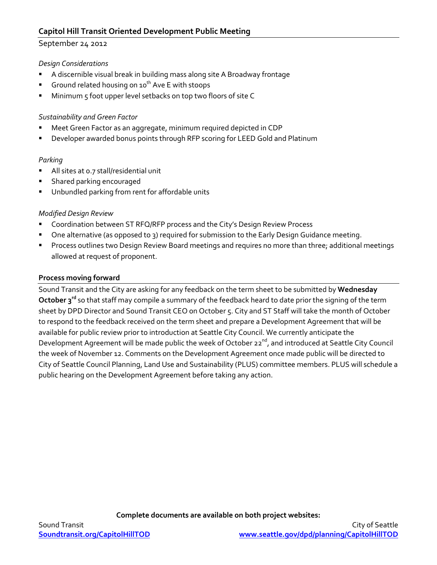### September 24 2012

### *Design Considerations*

- A discernible visual break in building mass along site A Broadway frontage
- Ground related housing on  $10^{th}$  Ave E with stoops
- Minimum 5 foot upper level setbacks on top two floors of site C

### *Sustainability and Green Factor*

- Meet Green Factor as an aggregate, minimum required depicted in CDP
- Developer awarded bonus points through RFP scoring for LEED Gold and Platinum

### *Parking*

- All sites at 0.7 stall/residential unit
- Shared parking encouraged
- Unbundled parking from rent for affordable units

#### *Modified Design Review*

- Coordination between ST RFQ/RFP process and the City's Design Review Process
- One alternative (as opposed to 3) required for submission to the Early Design Guidance meeting.
- Process outlines two Design Review Board meetings and requires no more than three; additional meetings allowed at request of proponent.

### **Process moving forward**

Sound Transit and the City are asking for any feedback on the term sheet to be submitted by **Wednesday October 3rd** so that staff may compile a summary of the feedback heard to date prior the signing of the term sheet by DPD Director and Sound Transit CEO on October 5. City and ST Staff will take the month of October to respond to the feedback received on the term sheet and prepare a Development Agreement that will be available for public review prior to introduction at Seattle City Council. We currently anticipate the Development Agreement will be made public the week of October 22<sup>nd</sup>, and introduced at Seattle City Council the week of November 12. Comments on the Development Agreement once made public will be directed to City of Seattle Council Planning, Land Use and Sustainability (PLUS) committee members. PLUS will schedule a public hearing on the Development Agreement before taking any action.